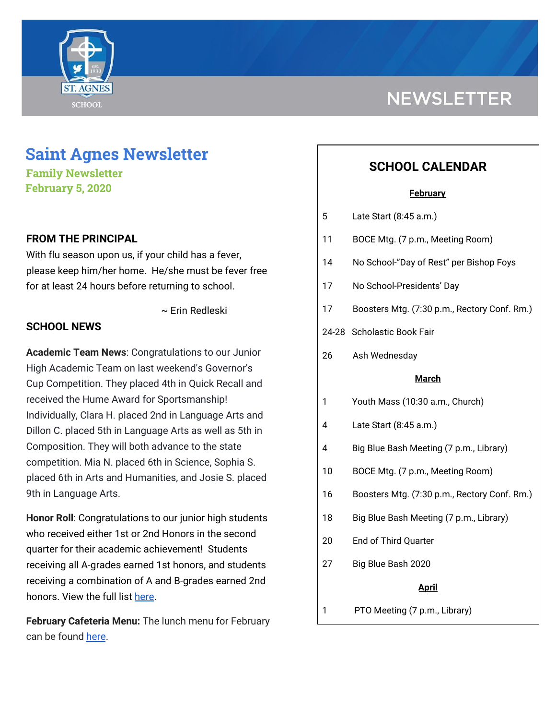

# **NEWSLETTER**

# **Saint Agnes Newsletter**

**Family Newsletter February 5, 2020**

# **FROM THE PRINCIPAL**

With flu season upon us, if your child has a fever, please keep him/her home. He/she must be fever free for at least 24 hours before returning to school.

~ Erin Redleski

### **SCHOOL NEWS**

**Academic Team News**: Congratulations to our Junior High Academic Team on last weekend's Governor's Cup Competition. They placed 4th in Quick Recall and received the Hume Award for Sportsmanship! Individually, Clara H. placed 2nd in Language Arts and Dillon C. placed 5th in Language Arts as well as 5th in Composition. They will both advance to the state competition. Mia N. placed 6th in Science, Sophia S. placed 6th in Arts and Humanities, and Josie S. placed 9th in Language Arts.

**Honor Roll**: Congratulations to our junior high students who received either 1st or 2nd Honors in the second quarter for their academic achievement! Students receiving all A-grades earned 1st honors, and students receiving a combination of A and B-grades earned 2nd honors. View the full list [here.](https://school.saintagnes.com/wp-content/uploads/2020/02/2019-20-Honor-Roll-Quarter-2.pdf)

**February Cafeteria Menu:** The lunch menu for February can be found [here](https://school.saintagnes.com/wp-content/uploads/2020/01/2019-2020-Feb-Menu.pdf).

# **SCHOOL CALENDAR**

#### **February**

| Late Start (8:45 a.m.)<br>5 |
|-----------------------------|
|-----------------------------|

- 11 BOCE Mtg. (7 p.m., Meeting Room)
- 14 No School-"Day of Rest" per Bishop Foys
- 17 No School-Presidents' Day
- 17 Boosters Mtg. (7:30 p.m., Rectory Conf. Rm.)
- 24-28 Scholastic Book Fair
- 26 Ash Wednesday

#### **March**

- 1 Youth Mass (10:30 a.m., Church)
- 4 Late Start (8:45 a.m.)
- 4 Big Blue Bash Meeting (7 p.m., Library)
- 10 BOCE Mtg. (7 p.m., Meeting Room)
- 16 Boosters Mtg. (7:30 p.m., Rectory Conf. Rm.)
- 18 Big Blue Bash Meeting (7 p.m., Library)
- 20 End of Third Quarter
- 27 Big Blue Bash 2020

#### **April**

1 PTO Meeting (7 p.m., Library)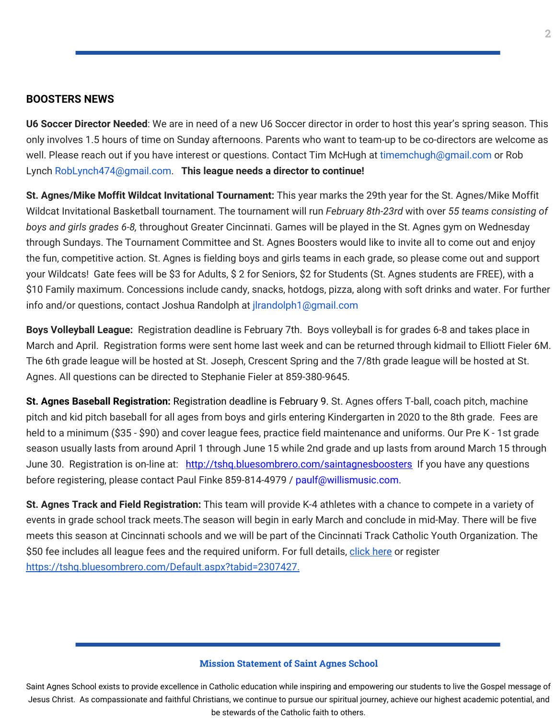#### **BOOSTERS NEWS**

**U6 Soccer Director Needed**: We are in need of a new U6 Soccer director in order to host this year's spring season. This only involves 1.5 hours of time on Sunday afternoons. Parents who want to team-up to be co-directors are welcome as well. Please reach out if you have interest or questions. Contact Tim McHugh at timemchugh@gmail.com or Rob Lynch RobLynch474@gmail.com. **This league needs a director to continue!**

**St. Agnes/Mike Moffit Wildcat Invitational Tournament:** This year marks the 29th year for the St. Agnes/Mike Moffit Wildcat Invitational Basketball tournament. The tournament will run *February 8th-23rd* with over *55 teams consisting of boys and girls grades 6-8,* throughout Greater Cincinnati. Games will be played in the St. Agnes gym on Wednesday through Sundays. The Tournament Committee and St. Agnes Boosters would like to invite all to come out and enjoy the fun, competitive action. St. Agnes is fielding boys and girls teams in each grade, so please come out and support your Wildcats! Gate fees will be \$3 for Adults, \$ 2 for Seniors, \$2 for Students (St. Agnes students are FREE), with a \$10 Family maximum. Concessions include candy, snacks, hotdogs, pizza, along with soft drinks and water. For further info and/or questions, contact Joshua Randolph at jlrandolph1@gmail.com

**Boys Volleyball League:** Registration deadline is February 7th. Boys volleyball is for grades 6-8 and takes place in March and April. Registration forms were sent home last week and can be returned through kidmail to Elliott Fieler 6M. The 6th grade league will be hosted at St. Joseph, Crescent Spring and the 7/8th grade league will be hosted at St. Agnes. All questions can be directed to Stephanie Fieler at 859-380-9645.

**St. Agnes Baseball Registration:** Registration deadline is February 9. St. Agnes offers T-ball, coach pitch, machine pitch and kid pitch baseball for all ages from boys and girls entering Kindergarten in 2020 to the 8th grade. Fees are held to a minimum (\$35 - \$90) and cover league fees, practice field maintenance and uniforms. Our Pre K - 1st grade season usually lasts from around April 1 through June 15 while 2nd grade and up lasts from around March 15 through June 30. Registration is on-line at: <http://tshq.bluesombrero.com/saintagnesboosters> If you have any questions before registering, please contact Paul Finke 859-814-4979 / paulf@willismusic.com.

**St. Agnes Track and Field Registration:** This team will provide K-4 athletes with a chance to compete in a variety of events in grade school track meets.The season will begin in early March and conclude in mid-May. There will be five meets this season at Cincinnati schools and we will be part of the Cincinnati Track Catholic Youth Organization. The \$50 fee includes all league fees and the required uniform. For full details, [click](https://school.saintagnes.com/wp-content/uploads/2020/01/2020-track-and-field-saint-agnes.pdf) here or register <https://tshq.bluesombrero.com/Default.aspx?tabid=2307427>[.](https://school.saintagnes.com/wp-content/uploads/2020/01/2020-st-agnes-track-and-field.pdf)

#### **Mission Statement of Saint Agnes School**

Saint Agnes School exists to provide excellence in Catholic education while inspiring and empowering our students to live the Gospel message of Jesus Christ. As compassionate and faithful Christians, we continue to pursue our spiritual journey, achieve our highest academic potential, and be stewards of the Catholic faith to others.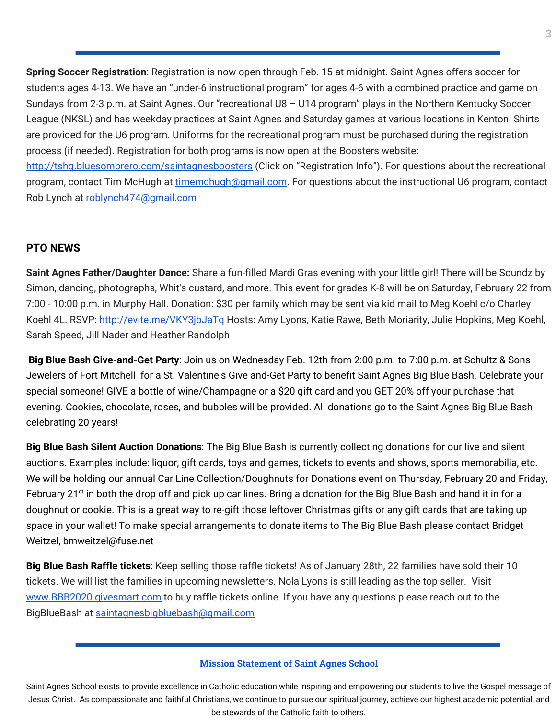**Spring Soccer Registration**: Registration is now open through Feb. 15 at midnight. Saint Agnes offers soccer for students ages 4-13. We have an "under-6 instructional program" for ages 4-6 with a combined practice and game on Sundays from 2-3 p.m. at Saint Agnes. Our "recreational U8 – U14 program" plays in the Northern Kentucky Soccer League (NKSL) and has weekday practices at Saint Agnes and Saturday games at various locations in Kenton Shirts are provided for the U6 program. Uniforms for the recreational program must be purchased during the registration process (if needed). Registration for both programs is now open at the Boosters website: <http://tshq.bluesombrero.com/saintagnesboosters> (Click on "Registration Info"). For questions about the recreational program, contact Tim McHugh at [timemchugh@gmail.com](mailto:timemchugh@gmail.com). For questions about the instructional U6 program, contact Rob Lynch at roblynch474@gmail.com

# **PTO NEWS**

**Saint Agnes Father/Daughter Dance:** Share a fun-filled Mardi Gras evening with your little girl! There will be Soundz by Simon, dancing, photographs, Whit's custard, and more. This event for grades K-8 will be on Saturday, February 22 from 7:00 - 10:00 p.m. in Murphy Hall. Donation: \$30 per family which may be sent via kid mail to Meg Koehl c/o Charley Koehl 4L. RSVP: <http://evite.me/VKY3jbJaTq> Hosts: Amy Lyons, Katie Rawe, Beth Moriarity, Julie Hopkins, Meg Koehl, Sarah Speed, Jill Nader and Heather Randolph

**Big Blue Bash Give-and-Get Party**: Join us on Wednesday Feb. 12th from 2:00 p.m. to 7:00 p.m. at Schultz & Sons Jewelers of Fort Mitchell for a St. Valentine's Give and-Get Party to benefit Saint Agnes Big Blue Bash. Celebrate your special someone! GIVE a bottle of wine/Champagne or a \$20 gift card and you GET 20% off your purchase that evening. Cookies, chocolate, roses, and bubbles will be provided. All donations go to the Saint Agnes Big Blue Bash celebrating 20 years!

**Big Blue Bash Silent Auction Donations**: The Big Blue Bash is currently collecting donations for our live and silent auctions. Examples include: liquor, gift cards, toys and games, tickets to events and shows, sports memorabilia, etc. We will be holding our annual Car Line Collection/Doughnuts for Donations event on Thursday, February 20 and Friday, February 21<sup>st</sup> in both the drop off and pick up car lines. Bring a donation for the Big Blue Bash and hand it in for a doughnut or cookie. This is a great way to re-gift those leftover Christmas gifts or any gift cards that are taking up space in your wallet! To make special arrangements to donate items to The Big Blue Bash please contact Bridget Weitzel, bmweitzel@fuse.net

**Big Blue Bash Raffle tickets**: Keep selling those raffle tickets! As of January 28th, 22 families have sold their 10 tickets. We will list the families in upcoming newsletters. Nola Lyons is still leading as the top seller. Visit [www.BBB2020.givesmart.com](http://www.bbb2020.givesmart.com/) to buy raffle tickets online. If you have any questions please reach out to the BigBlueBash at [saintagnesbigbluebash@gmail.com](mailto:saintagnesbigbluebash@gmail.com)

#### **Mission Statement of Saint Agnes School**

Saint Agnes School exists to provide excellence in Catholic education while inspiring and empowering our students to live the Gospel message of Jesus Christ. As compassionate and faithful Christians, we continue to pursue our spiritual journey, achieve our highest academic potential, and be stewards of the Catholic faith to others.